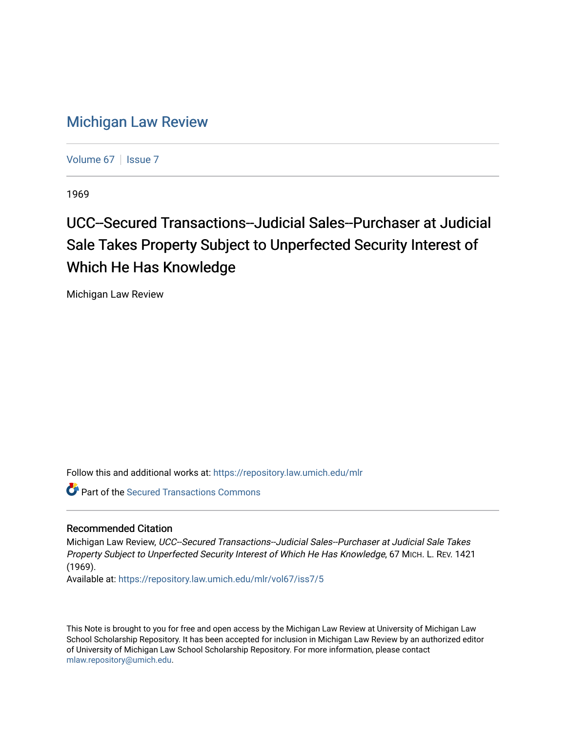## [Michigan Law Review](https://repository.law.umich.edu/mlr)

[Volume 67](https://repository.law.umich.edu/mlr/vol67) | [Issue 7](https://repository.law.umich.edu/mlr/vol67/iss7)

1969

# UCC--Secured Transactions--Judicial Sales--Purchaser at Judicial Sale Takes Property Subject to Unperfected Security Interest of Which He Has Knowledge

Michigan Law Review

Follow this and additional works at: [https://repository.law.umich.edu/mlr](https://repository.law.umich.edu/mlr?utm_source=repository.law.umich.edu%2Fmlr%2Fvol67%2Fiss7%2F5&utm_medium=PDF&utm_campaign=PDFCoverPages) 

Part of the [Secured Transactions Commons](http://network.bepress.com/hgg/discipline/876?utm_source=repository.law.umich.edu%2Fmlr%2Fvol67%2Fiss7%2F5&utm_medium=PDF&utm_campaign=PDFCoverPages)

### Recommended Citation

Michigan Law Review, UCC--Secured Transactions--Judicial Sales--Purchaser at Judicial Sale Takes Property Subject to Unperfected Security Interest of Which He Has Knowledge, 67 MICH. L. REV. 1421 (1969).

Available at: [https://repository.law.umich.edu/mlr/vol67/iss7/5](https://repository.law.umich.edu/mlr/vol67/iss7/5?utm_source=repository.law.umich.edu%2Fmlr%2Fvol67%2Fiss7%2F5&utm_medium=PDF&utm_campaign=PDFCoverPages)

This Note is brought to you for free and open access by the Michigan Law Review at University of Michigan Law School Scholarship Repository. It has been accepted for inclusion in Michigan Law Review by an authorized editor of University of Michigan Law School Scholarship Repository. For more information, please contact [mlaw.repository@umich.edu.](mailto:mlaw.repository@umich.edu)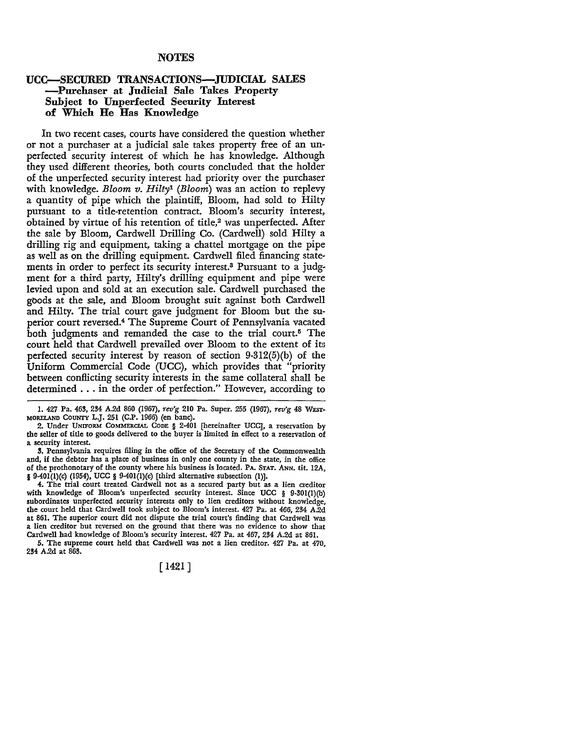#### **NOTES**

#### **UCC-SECURED TRANSACTIONS-JUDICIAL SALES -Purchaser at Judicial Sale Takes Property Subject to Unperfected Security Interest of Which He Has Knowledge**

In two recent cases, courts have considered the question whether or not a purchaser at a judicial sale takes property free of an unperfected security interest of which he has knowledge. Although they used different theories, both courts concluded that the holder of the unperfected security interest had priority over the purchaser with knowledge. *Bloom v. Hilty1 (Bloom)* was an action to replevy a quantity of pipe which the plaintiff, Bloom, had sold to Hilty pursuant to a title-retention contract. Bloom's security interest, obtained by virtue of his retention of title,<sup>2</sup> was unperfected. After the sale by Bloom, Cardwell Drilling Co. (Cardwell) sold Hilty a drilling rig and equipment, taking a chattel mortgage on the pipe as well as on the drilling equipment. Cardwell filed financing statements in order to perfect its security interest.3 Pursuant to a judgment for a third party, Hilty's drilling equipment and pipe were levied upon and sold at an execution sale. Cardwell purchased the goods at the sale, and Bloom brought suit against both Cardwell and Hilty. The trial court gave judgment for Bloom but the superior court reversed.4 The Supreme Court of Pennsylvania vacated both judgments and remanded the case to the trial court.<sup>5</sup> The court held that Cardwell prevailed over Bloom to the extent of its perfected security interest by reason of section 9-312(5)(b) of the Uniform Commercial Code (UCC), which provides that "priority between conflicting security interests in the same collateral shall be determined . . . in the order of perfection." However, according to

l. 427 Pa. 463, 234 A.2d 860 (1967), *rev'g* 210 Pa. Super. 255 (1967), *rev'g* 48 WEST-MORELAND COUNTY L.J. 251 (C.P. 1966) (en bane).

2. Under UNIFORM COMMERCIAL CODE § 2·401 [hereinafter UCC], a reservation by the seller of title to goods delivered to the buyer is limited in effect to a reservation of a security interest.

3. Pennsylvania requires filing in the office of the Secretary of the Commonwealth and, if the debtor has a place of business in only one county in the state, in the office of the prothonotary of the county where his business is located. PA. STAT. ANN. tit. 12A, § 9-40l(l)(c) (1954), UCC § 9-40l(l)(c) [third alternative subsection (l)].

4. The trial court treated Cardwell not as a secured party but as a lien creditor with knowledge of Bloom's unperfected security interest. Since UCC § 9-30l(l)(b) subordinates unperfected security interests only to lien creditors without knowledge, the court held that Cardwell took subject to Bloom's interest. 427 Pa. at 466, 234 A.2d at 861. The superior court did not dispute the trial court's finding that Cardwell was a lien creditor but reversed on the ground that there was no evidence to show that Cardwell had knowledge of Bloom's security interest. 427 Pa. at 467, 234 A.2d at 861.

5. The supreme court held that Cardwell was not a lien creditor. 427 Pa. at 470, 234 A.2d at 863.

[ 1421]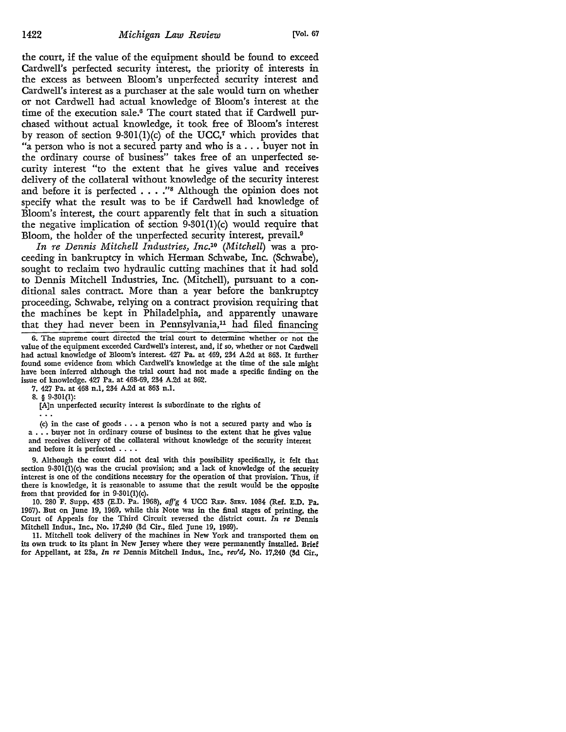the court, if the value of the equipment should be found to exceed Cardwell's perfected security interest, the priority of interests in the excess as between Bloom's unperfected security interest and Cardwell's interest as a purchaser at the sale would turn on whether or not Cardwell had actual knowledge of Bloom's interest at the time of the execution sale.6 The court stated that if Cardwell purchased without actual knowledge, it took free of Bloom's interest by reason of section 9-301(1)(c) of the UCC,<sup>7</sup> which provides that "a person who is not a secured party and who is a ... buyer not in the ordinary course of business" takes free of an unperfected security interest "to the extent that he gives value and receives delivery of the collateral without knowledge of the security interest and before it is perfected  $\ldots$ ."<sup>8</sup> Although the opinion does not specify what the result was to be if Cardwell had knowledge of Bloom's interest, the court apparently felt that in such a situation the negative implication of section  $9-301(1)(c)$  would require that Bloom, the holder of the unperfected security interest, prevail.<sup>9</sup>

*In re Dennis Mitchell Industries, lnc.10 (Mitchell)* was a proceeding in bankruptcy in which Herman Schwabe, Inc. (Schwabe), sought to reclaim two hydraulic cutting machines that it had sold to Dennis Mitchell Industries, Inc. (Mitchell), pursuant to a conditional sales contract. More than a year before the bankruptcy proceeding, Schwabe, relying on a contract provision requiring that the machines be kept in Philadelphia, and apparently unaware that they had never been in Pennsylvania, $11$  had filed financing

7. 427 Pa. at 468 n.1, 234 A.2d at 863 n.1.

8. § 9-301(1):

[A]n unperfected security interest is subordinate to the rights of

(c) in the case of goods  $\ldots$  a person who is not a secured party and who is a ... buyer not in ordinary course of business to the extent that he gives value and receives delivery of the collateral without knowledge of the security interest and before it is perfected  $\ldots$ .

9. Although the court did not deal with this possibility specifically, it felt that section  $9-301(1)$ (c) was the crucial provision; and a lack of knowledge of the security interest is one of the conditions necessary for the operation of that provision. Thus, if there is knowledge, it is reasonable to assume that the result would be the opposite from that provided for in 9-30l(l)(c).

10. 280 F. Supp. 433 (E.D. Pa. 1968), *afj'g* 4 UCC REP. SERv. 1084 (Ref. E.D. Pa. 1967). But on June 19, 1969, while this Note was in the final stages of printing, the Court of Appeals for the Third Circuit reversed the district court. *In re* Dennis Mitchell Indus., Inc., No. 17,240 (3d Cir., filed June 19, 1969).

11. Mitchell took delivery of the machines in New York and transported them on its own truck to its plant in New Jersey where they were permanently installed. Brief for Appellant, at 23a, *In re* Dennis Mitchell Indus., Inc., *rev'd,* No. 17,240 (3d Cir.,

<sup>6.</sup> The supreme court directed the trial court to determine whether or not the value of the equipment exceeded Cardwell's interest, and, if so, whether or not Cardwell had actual knowledge of Bloom's interest. 427 Pa. at 469, 234 A.2d at 863. It further found some evidence from which Cardwell's knowledge at the time of the sale might have been inferred although the trial court had not made a specific finding on the issue of knowledge. 427 Pa. at 468-69, 234 A.2d at 862.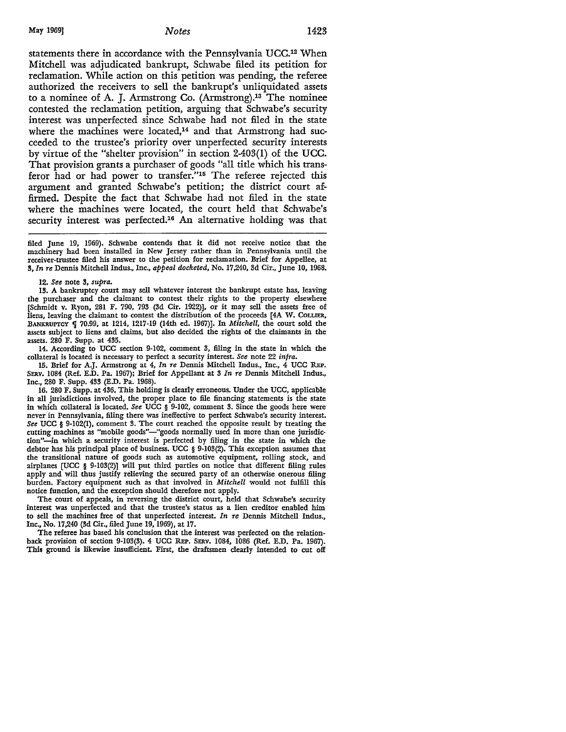#### May 1969] *Notes* 1423

statements there in accordance with the Pennsylvania UCC.12 When Mitchell was adjudicated bankrupt, Schwabe filed its petition for reclamation. While action on this petition was pending, the referee authorized the receivers to sell the bankrupt's unliquidated assets to a nominee of A. J. Armstrong Co. (Armstrong).13 The nominee contested the reclamation petition, arguing that Schwabe's security interest was unperfected since Schwabe had not filed in the state where the machines were located,<sup>14</sup> and that Armstrong had succeeded to the trustee's priority over unperfected security interests by virtue of the "shelter provision" in section 2-403(1) of the UCC. That provision grants a purchaser of goods "all title which his transferor had or had power to transfer."15 The referee rejected this argument and granted Schwabe's petition; the district court affirmed. Despite the fact that Schwabe had not filed in the state where the machines were located, the court held that Schwabe's security interest was perfected.<sup>16</sup> An alternative holding was that

filed June 19, 1969). Schwabe contends that it did not receive notice that the machinery had been installed in New Jersey rather than in Pennsylvania until the receiver-trustee filed his answer to the petition for reclamation. Brief for Appellee, at 3, *In re* Dennis Mitchell Indus., Inc., *appeal docketed,* No. 17,240, 3d Cir., June 10, 1968.

12. *See* note 3, *supra.* 

13. A bankruptcy court may sell whatever interest the bankrupt estate has, leaving the purchaser and the claimant to contest their rights to the property elsewhere [Schmidt v. Ryon, 281 F. 790, 793 (3d Cir. 1922)], or it may sell the assets free of liens, leaving the claimant to contest the distribution of the proceeds [4A W. COLLIER, BANKRUPTCY § 70.99, at 1214, 1217-19 (14th ed. 1967)]. In *Mitchell*, the court sold the assets subject to liens and claims, but also decided the rights of the claimants in the assets. 280 F. Supp. at 435.

14. According to UCC section 9-102, comment 3, filing in the state in which the collateral is located is necessary to perfect a security interest. *See* note 22 *infra.* 

15. Brief for A.J. Armstrong at 4, *In re* Dennis Mitchell Indus., Inc., 4 UCC REP. SERv. 1084 (Ref. E.D. Pa. 1967); Brief for Appellant at 3 *In re* Dennis Mitchell Indus., Inc., 280 F. Supp. 433 (E.D. Pa. 1968).

16. 280 F. Supp. at 436. This holding is clearly erroneous. Under the UCC, applicable in all jurisdictions involved, the proper place to file financing statements is the state in which collateral is located. *See* UCC § 9-102, comment 3. Since the goods here were never in Pennsylvania, filing there was ineffective to perfect Schwabe's security interest. *See* UCC § 9-102(1), comment 3. The court reached the opposite result by treating the cutting machines as "mobile goods"-"goods normally used in more than one jurisdiction"-in which a security interest is perfected by filing in the state in which the debtor has his principal place of business. UCC § 9-103(2). This exception assumes that the transitional nature of goods such as automotive equipment, rolling stock, and airplanes [UCC § 9-103(2)] will put third parties on notice that different filing rules apply and will thus justify relieving the secured party of an otherwise onerous filing burden. Factory equipment such as that involved in *Mitchell* would not fulfill this notice function, and the exception should therefore not apply.

The court of appeals, in reversing the district court, held that Schwabe's security interest was unperfected and that the trustee's status as a lien creditor enabled him to sell the machines free of that unperfected interest. *In re* Dennis Mitchell Indus., Inc., No. 17,240 (3d Cir., filed June 19, 1969), at 17.

The referee has based his conclusion that the interest was perfected on the relationback provision of section 9-103(3). 4 UCC REP. SERv. 1084, 1086 (Ref. E.D. Pa. 1967). This ground is likewise insufficient. First, the draftsmen clearly intended to cut off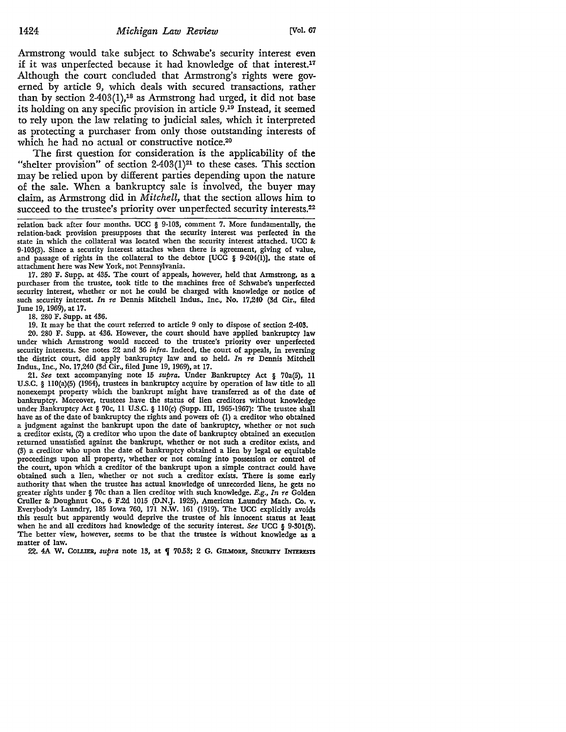Armstrong would take subject to Schwabe's security interest even if it was unperfected because it had knowledge of that interest.17 Although the court concluded that Armstrong's rights were governed by article 9, which deals with secured transactions, rather than by section  $2-403(1)$ ,<sup>18</sup> as Armstrong had urged, it did not base its holding on any specific provision in article 9.19 Instead, it seemed to rely upon the law relating to judicial sales, which it interpreted as protecting a purchaser from only those outstanding interests of which he had no actual or constructive notice.<sup>20</sup>

The first question for consideration is the applicability of the "shelter provision" of section  $2-403(1)^{21}$  to these cases. This section may be relied upon by different parties depending upon the nature of the sale. When a bankruptcy sale is involved, the buyer may claim, as Armstrong did in *Mitchell,* that the section allows him to succeed to the trustee's priority over unperfected security interests.<sup>22</sup>

relation back after four months. UCC § 9-103, comment 7. More fundamentally, the relation-back provision presupposes that the security interest was perfected in the state in which the collateral was located when the security interest attached. UCC *8e*  9-103(3). Since a security interest attaches when there is agreement, giving of value, and passage of rights in the collateral to the debtor [UCC  $\S$  9-204(I)], the state of attachment here was New York, not Pennsylvania.

17. 280 F. Supp. at 435. The court of appeals, however, held that Armstrong, as a purchaser from the trustee, took title to the machines free of Schwabe's unperfected security interest, whether or not he could be charged with knowledge or notice of such security interest. *In re* Dennis Mitchell Indus., Inc., No. 17,240 (3d Cir., filed June 19, 1969), at 17.

18. 280 F. Supp. at 436.

19. It may be that the court referred to article 9 only to dispose of section 2-403.

20. 280 F. Supp. at 436. However, the court should have applied bankruptcy law under which Armstrong would succeed to the trustee's priority over unperfected security interests. See notes 22 and 36 *infra.* Indeed, the court of appeals, in reversing the district court, did apply bankruptcy law and so held. *In re* Dennis Mitchell Indus., Inc., No. 17,240 (3d Cir., filed June 19, 1969), at 17.

21. *See* text accompanying note 15 *supra.* Under Bankruptcy Act § 70a(5), 11 U.S.C. § 110(a)(5) (1964), trustees in bankruptcy acquire by operation of law title to all nonexempt property which the bankrupt might have transferred as of the date **of**  bankruptcy. Moreover, trustees have the status of lien creditors without knowledge under Bankruptcy Act § 70c, 11 U.S.C. § 110(c) (Supp. III, 1965-1967): The trustee shall have as of the date of bankruptcy the rights and powers of: (I) a creditor who obtained a judgment against the bankrupt upon the date of bankruptcy, whether or not such a creditor exists, (2) a creditor who upon the date of bankruptcy obtained an execution returned unsatisfied against the bankrupt, whether or not such a creditor exists, and (3) a creditor who upon the date of bankruptcy obtained a lien by legal or equitable proceedings upon all property, whether or not coming into possession or control of the court, upon which a creditor of the bankrupt upon a simple contract could have obtained such a lien, whether or not such a creditor exists. There is some early authority that when the trustee has actual knowledge of unrecorded liens, he gets no greater rights under § 70c than a lien creditor with such knowledge. *E.g., In re* Golden Cruller *8e* Doughnut Co., 6 F.2d 1015 (DN.J. 1925), American Laundry Mach. Co. v. Everybody's Laundry, 185 Iowa 760, 171 N.W. 161 (1919). The UCC explicitly avoids this result but apparently would deprive the trustee of his innocent status at least when he and all creditors had knowledge of the security interest. *See* UCC § 9-301(3). The better view, however, seems to be that the trustee is without knowledge as a matter of law.

22. 4A W. COLLIER, *supra* note 13, at  $\P$  70.53; 2 G. GILMORE, SECURITY INTERESTS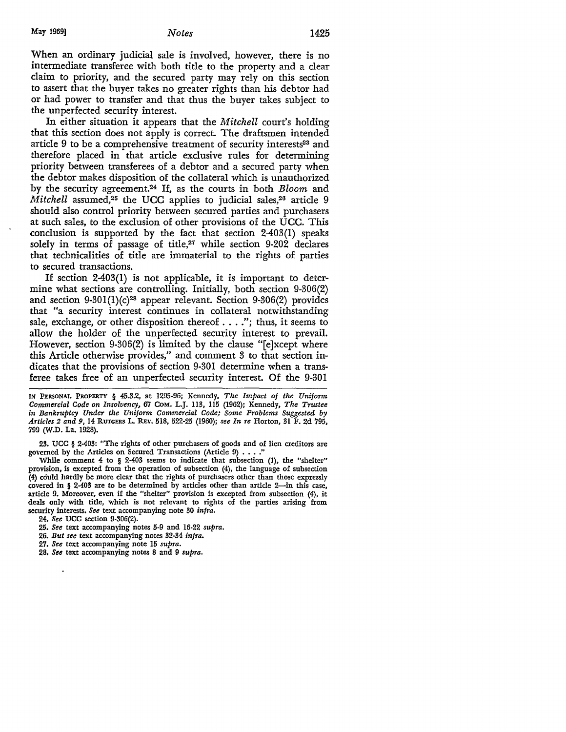When an ordinary judicial sale is involved, however, there is no intermediate transferee with both title to the property and a clear claim to priority, and the secured party may rely on this section to assert that the buyer takes no greater rights than his debtor had or had power to transfer and that thus the buyer takes subject to the unperfected security interest.

In either situation it appears that the *Mitchell* court's holding that this section does not apply is correct. The draftsmen intended article 9 to be a comprehensive treatment of security interests<sup>23</sup> and therefore placed in that article exclusive rules for determining priority between transferees of a debtor and a secured party when the debtor makes disposition of the collateral which is unauthorized by the security agreement.24 If, as the courts in both *Bloom* and *Mitchell* assumed,<sup>25</sup> the UCC applies to judicial sales,<sup>26</sup> article 9 should also control priority between secured parties and purchasers at such sales, to the exclusion of other provisions of the UCC. This conclusion is supported by the fact that section 2-403(1) speaks solely in terms of passage of title,<sup>27</sup> while section 9-202 declares that technicalities of title are immaterial to the rights of parties to secured transactions.

If section 2-403(1) is not applicable, it is important to determine what sections are controlling. Initially, both section 9-306(2) and section 9-301(1)(c)<sup>28</sup> appear relevant. Section 9-306(2) provides that "a security interest continues in collateral notwithstanding sale, exchange, or other disposition thereof .... "; thus, it seems to allow the holder of the unperfected security interest to prevail. However, section 9-306(2) is limited by the clause "[e]xcept where this Article otherwise provides," and comment 3 to that section indicates that the provisions of section 9-301 determine when a transferee takes free of an unperfected security interest. Of the 9-301

IN PERSONAL PROPERTY § 45.3.2, at 1295-96; Kennedy, *The Impact of the Uniform Commercial Code on Insolvency,* 67 COM. L.J. 113, 115 (1962); Kennedy, *The Trustee in Bankruptcy Under the Uniform Commercial Code; Some Problems Suggested by Articles 2 and 9,* 14 RUTGERS L. REv. 518, 522-25 (1960); *see In re* Horton, 31 F. 2d 795, 799 (W.D. La. 1928).

23. UCC § 2-403: "The rights of other purchasers of goods and of lien creditors are governed by the Articles on Secured Transactions (Article 9) . . . .

While comment 4 to § 2-403 seems to indicate that subsection (1), the "shelter" provision, is excepted from the operation of subsection (4), the language of subsection (4) could hardly be more clear that the rights of purchasers other than those expressly covered in  $\S$  2-403 are to be determined by articles other than article 2-in this case, article 9. Moreover, even if the "shelter" provision is excepted from subsection (4), it deals only with title, which is not relevant to rights of the parties arising from security interests. *See* text accompanying note 30 *infra.* 

24. *See* UCC section 9-306(2).

26. *But see* text accompanying notes 32-34 *infra.* 

27. *See* text accompanying note 15 *supra.* 

<sup>25.</sup> *See* text accompanying notes 5-9 and 16-22 *supra.* 

<sup>28.</sup> *See* text accompanying notes 8 and 9 *supra.*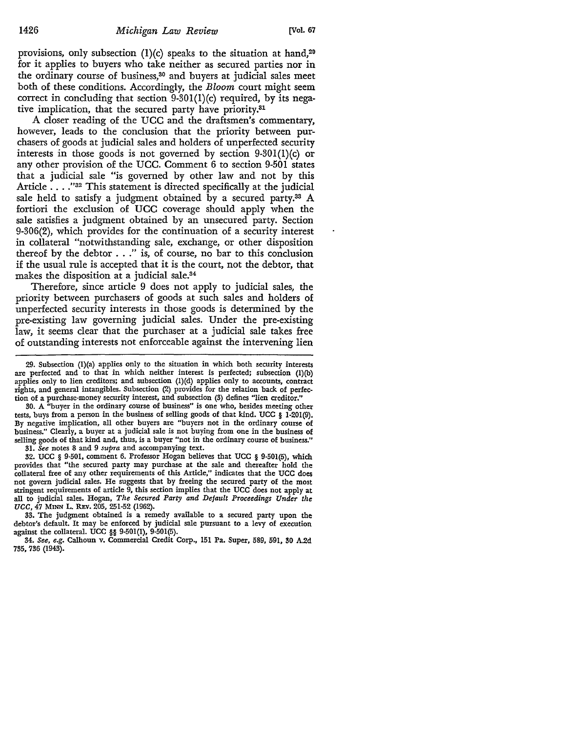provisions, only subsection  $(1)(c)$  speaks to the situation at hand,<sup>29</sup> for it applies to buyers who take neither as secured parties nor in the ordinary course of business,<sup>30</sup> and buyers at judicial sales meet both of these conditions. Accordingly, the *Bloom* court might seem correct in concluding that section  $9-301(1)(c)$  required, by its negative implication, that the secured party have priority.31

A closer reading of the UCC and the draftsmen's commentary, however, leads to the conclusion that the priority between purchasers of goods at judicial sales and holders of unperfected security interests in those goods is not governed by section 9-301(1)(c) or any other provision of the UCC. Comment 6 to section 9-501 states that a judicial sale "is governed by other law and not by this Article . . . . "32 This statement is directed specifically at the judicial sale held to satisfy a judgment obtained by a secured party.<sup>33</sup> A fortiori the exclusion of UCC coverage should apply when the sale satisfies a judgment obtained by an unsecured party. Section 9-306(2), which provides for the continuation of a security interest in collateral "notwithstanding sale, exchange, or other disposition thereof by the debtor  $\dots$ " is, of course, no bar to this conclusion if the usual rule is accepted that it is the court, not the debtor, that makes the disposition at a judicial sale.34

Therefore, since article 9 does not apply to judicial sales, the priority between purchasers of goods at such sales and holders of unperfected security interests in those goods is determined by the pre-existing law governing judicial sales. Under the pre-existing law, it seems clear that the purchaser at a judicial sale takes free of outstanding interests not enforceable against the intervening lien

30. A "buyer in the ordinary course of business" is one who, besides meeting other tests, buys from a person in the business of selling goods of that kind. UCC § 1-201(9). By negative implication, all other buyers are "buyers not in the ordinary course of business." Clearly, a buyer at a judicial sale is not buying from one in the business of selling goods of that kind and, thus, is a buyer "not in the ordinary course of business."

31. *See* notes 8 and 9 *supra* and accompanying text.

32. UCC § 9-501, comment 6. Professor Hogan believes that UCC § 9-501(5), which provides that "the secured party may purchase at the sale and thereafter hold the collateral free of any other requirements of this Article," indicates that the UCC does not govern judicial sales. He suggests that by freeing the secured party of the most stringent requirements of article 9, this section implies that the UCC does not apply at all to judicial sales. Hogan, *The Secured Party and Default Proceedings Under the UCC,* 47 MINN L. REv. 205, 251-52 (1962).

33. The judgment obtained is a remedy available to a secured party upon the debtor's default. It may be enforced by judicial sale pursuant to a levy of execution against the collateral. UCC §§ 9-501(1), 9-501(5).

34. *See, e.g.* Calhoun v. Commercial Credit Corp., 151 Pa. Super, 589, 591, 30 A.2d 735, 736 (1943).

<sup>29.</sup> Subsection (l)(a) applies only to the situation in which both security interests are perfected and to that in which neither interest is perfected; subsection (l)(b) applies only to lien creditors; and subsection (l)(d) applies only to accounts, contract rights, and general intangibles. Subsection (2) provides for the relation back of perfection of a purchase-money security interest, and subsection (3) defines "lien creditor."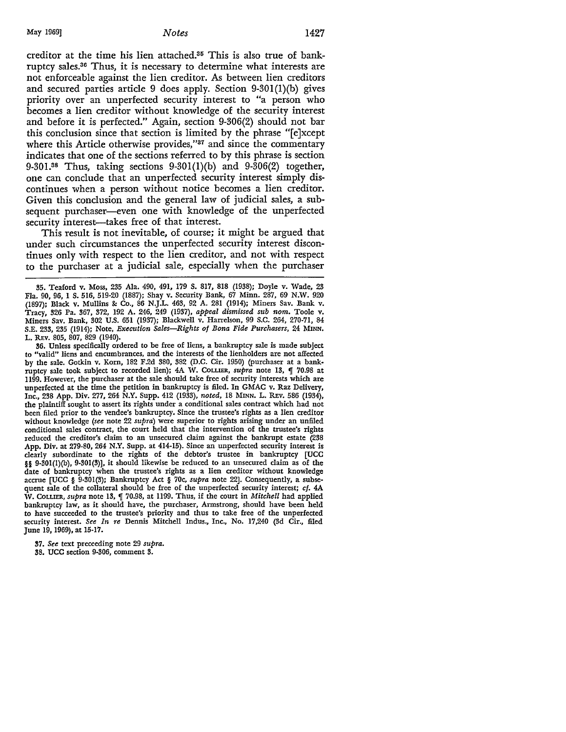creditor at the time his lien attached.35 This is also true of bankruptcy sales.36 Thus, it is necessary to determine what interests are not enforceable against the lien creditor. As between lien creditors and secured parties article 9 does apply. Section 9-301(1)(b) gives priority over an unperfected security interest to "a person who becomes a lien creditor without knowledge of the security interest and before it is perfected." Again, section 9-306(2) should not bar this conclusion since that section is limited by the phrase "[e]xcept where this Article otherwise provides,"<sup>37</sup> and since the commentary indicates that one of the sections referred to by this phrase is section 9-301.38 Thus, taking sections 9-30l(l)(b) and 9-306(2) together, one can conclude that an unperfected security interest simply discontinues when a person without notice becomes a lien creditor. Given this conclusion and the general law of judicial sales, a subsequent purchaser—even one with knowledge of the unperfected security interest-takes free of that interest.

This result is not inevitable, of course; it might be argued that under such circumstances the unperfected security interest discontinues only with respect to the lien creditor, and not with respect to the purchaser at a judicial sale, especially when the purchaser

36. Unless specifically ordered to be free of liens, a bankruptcy sale is made subject to "valid" liens and encumbrances, and the interests of the lienholders are not affected by the sale. Gotkin v. Korn, 182 F.2d 380, 382 (D.C. Cir. 1950) (purchaser at a bankruptcy sale took subject to recorded lien); 4A W. COLLIER, *supra* note 13, *[10.98 at* 1199. However, the purchaser at the sale should take free of security interests which are unperfected at the time the petition in bankruptcy is filed. In GMAC v. Raz Delivery, Inc., 238 App. Div. 277, 264 N.Y. Supp. 412 (1933), *noted,* 18 MINN. L. REv. 586 (1934), the plaintiff sought to assert its rights under a conditional sales contract which had not been filed prior to the vendee's bankruptcy. Since the trustee's rights as a lien creditor without knowledge *(see* note 22 *supra)* were superior to rights arising under an unfiled conditional sales contract, the court held that the intervention of the trustee's rights reduced the creditor's claim to an unsecured claim against the bankrupt estate (238 App. Div. at 279-80, 264 N.Y. Supp. at 414-15). Since an unperfected security interest is clearly subordinate to the rights of the debtor's trustee in bankruptcy [UCC §§ 9-301(l)(b), 9-301(3)], it should likewise be reduced to an unsecured claim as of the date of bankruptcy when the trustee's rights as a lien creditor without knowledge accrue [UCC § 9-301(3); Bankruptcy Act § 70c, *supra* note 22]. Consequently, a subsequent sale of the collateral should be free of the unperfected security interest; *cf.* 4A W. COLLIER, *supra* note 13, J 70.98, at 1199. Thus, if the court in *Mitchell* had applied bankruptcy law, as it should have, the purchaser, Armstrong, should have been held to have succeeded to the trustee's priority and thus to take free of the unperfected security interest. *See In re* Dennis Mitchell Indus., Inc., No. 17,240 (3d Cir., filed June 19, 1969), at 15-17.

37. *See* text preceeding note 29 *supra.*  38. UCC section 9-306, comment 3.

<sup>35.</sup> Teaford v. Moss, 235 Ala. 490, 491, 179 S. 817, 818 (1938); Doyle v. Wade, 23 Fla. 90, 96, l S. 516, 519-20 (1887); Shay v. Security Bank, 67 Minn. 287, 69 N.W. 920 (1897); Black v. Mullins &: Co., 86 N.J.L. 463, 92 A. 281 (1914); Miners Sav. Bank v. Tracy, 326 Pa. 367, 372, 192 A. 246, 249 (1937), *appeal dismissed sub nom.* Toole v. Miners Sav. Bank, 302 U.S. 651 (1937); Blackwell v. Harrelson, 99 S.C. 264, 270-71, 84 S.E. 233, 235 (1914); Note, *Execution Sales-Rights of Bona Fide Purchasers,* 24 MINN. L. REv. 805, 807, 829 (1940).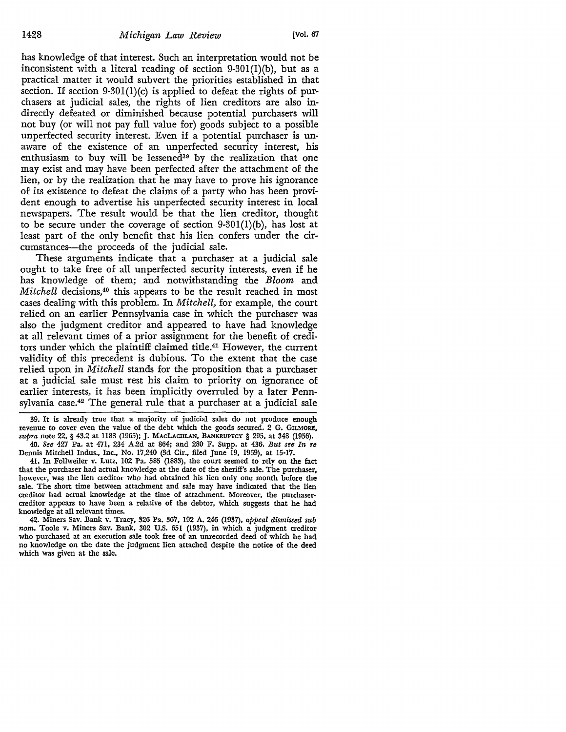has knowledge of that interest. Such an interpretation would not be inconsistent with a literal reading of section 9-30l(l)(b), but as a practical matter it would subvert the priorities established in that section. If section  $9-301(1)(c)$  is applied to defeat the rights of purchasers at judicial sales, the rights of lien creditors are also indirectly defeated or diminished because potential purchasers will not buy (or will not pay full value for) goods subject to a possible unperfected security interest. Even if a potential purchaser is unaware of the existence of an unperfected security interest, his enthusiasm to buy will be lessened<sup>39</sup> by the realization that one may exist and may have been perfected after the attachment of the lien, or by the realization that he may have to prove his ignorance of its existence to defeat the claims of a party who has been provident enough to advertise his unperfected security interest in local newspapers. The result would be that the lien creditor, thought to be secure under the coverage of section  $9-301(1)(b)$ , has lost at least part of the only benefit that his lien confers under the circumstances-the proceeds of the judicial sale.

These arguments indicate that a purchaser at a judicial sale ought to take free of all unperfected security interests, even if he has knowledge of them; and notwithstanding the Bloom and *Mitchell* decisions,<sup>40</sup> this appears to be the result reached in most cases dealing with this problem. In *Mitchell,* for example, the court relied on an earlier Pennsylvania case in which the purchaser was also the judgment creditor and appeared to have had knowledge at all relevant times of a prior assignment for the benefit of creditors under which the plaintiff claimed title.41 However, the current validity of this precedent is dubious. To the extent that the case relied upon in *Mitchell* stands for the proposition that a purchaser at a judicial sale must rest his claim to priority on ignorance of earlier interests, it has been implicitly overruled by a later Pennsylvania case.42 The general rule that a purchaser at a judicial sale

39. It is already true that a majority of judicial sales do not produce enough revenue to cover even the value of the debt which the goods secured. 2 G. GILMORE, *supra* note 22, § 43.2 at 1188 (1965); J. MACLACHLAN, BANKRUPTCY § 295, at 348 (1956). 40. *S1:e* 427 Pa. at 471, 234 A.2d at 864; and 280 F. Supp. at 436. *But see In re* 

Dennis Mitchell Indus., Inc., No. 17,240 (3d Cir., filed June 19, 1969), at 15-17. 41. In Follweiler v. Lutz, 102 Pa. 585 (1883), the court seemed to rely on the fact that the purchaser had actual knowledge at the date of the sheriff's sale. The purchaser, however, was the lien creditor who had obtained his lien only one month before the sale. The short time between attachment and sale may have indicated that the lien creditor had actual knowledge at the time of attachment. Moreover, the purchaser• creditor appears to have been a relative of the debtor, which suggests that he had knowledge at all relevant times.

42. Miners Sav. Bank v. Tracy, 326 Pa. 367, 192 A. 246 (1937), *appeal dismissed sub nom.* Toole v. Miners Sav. Bank, 302 U.S. 651 (1937), in which a judgment creditor who purchased at an execution sale took free of an unrecorded deed of which he had no knowledge on the date the judgment lien attached despite the notice of the deed which was given at the sale,